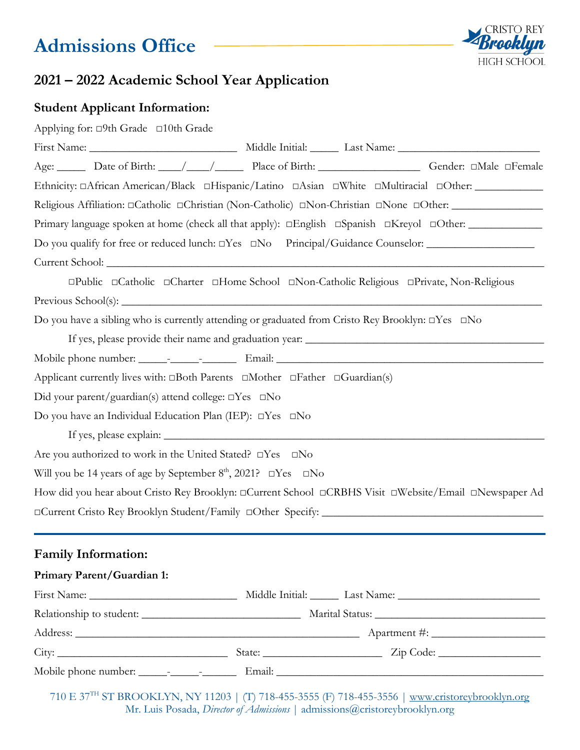# **Admissions Office**



# **2021 – 2022 Academic School Year Application**

# **Student Applicant Information:**

| Applying for: □9th Grade □10th Grade                                        |                                                                                                                             |                                                                                                       |
|-----------------------------------------------------------------------------|-----------------------------------------------------------------------------------------------------------------------------|-------------------------------------------------------------------------------------------------------|
|                                                                             |                                                                                                                             |                                                                                                       |
|                                                                             |                                                                                                                             | Age: Date of Birth: //// Place of Birth: Gender: DMale DFemale                                        |
|                                                                             |                                                                                                                             | Ethnicity: 0African American/Black 0Hispanic/Latino 0Asian 0White 0Multiracial 0Other:                |
|                                                                             |                                                                                                                             |                                                                                                       |
|                                                                             | Primary language spoken at home (check all that apply): □English □Spanish □Kreyol □Other: _________                         |                                                                                                       |
|                                                                             | Do you qualify for free or reduced lunch: □Yes □No Principal/Guidance Counselor: __________________                         |                                                                                                       |
|                                                                             |                                                                                                                             |                                                                                                       |
|                                                                             | $\Box$ Public $\Box$ Catholic $\Box$ Charter $\Box$ Home School $\Box$ Non-Catholic Religious $\Box$ Private, Non-Religious |                                                                                                       |
|                                                                             |                                                                                                                             |                                                                                                       |
|                                                                             | Do you have a sibling who is currently attending or graduated from Cristo Rey Brooklyn: $\Box$ Yes $\Box$ No                |                                                                                                       |
|                                                                             |                                                                                                                             |                                                                                                       |
|                                                                             |                                                                                                                             |                                                                                                       |
|                                                                             | Applicant currently lives with: □Both Parents □Mother □Father □Guardian(s)                                                  |                                                                                                       |
| Did your parent/guardian(s) attend college: $\square$ Yes $\square$ No      |                                                                                                                             |                                                                                                       |
| Do you have an Individual Education Plan (IEP): □Yes □No                    |                                                                                                                             |                                                                                                       |
|                                                                             |                                                                                                                             |                                                                                                       |
| Are you authorized to work in the United Stated? $\square$ Yes $\square$ No |                                                                                                                             |                                                                                                       |
| Will you be 14 years of age by September $8th$ , 2021? $\Box$ Yes $\Box$ No |                                                                                                                             |                                                                                                       |
|                                                                             |                                                                                                                             | How did you hear about Cristo Rey Brooklyn: ¤Current School ¤CRBHS Visit ¤Website/Email ¤Newspaper Ad |
|                                                                             |                                                                                                                             |                                                                                                       |
| <b>Family Information:</b>                                                  |                                                                                                                             |                                                                                                       |
| Primary Parent/Guardian 1:                                                  |                                                                                                                             |                                                                                                       |
|                                                                             |                                                                                                                             |                                                                                                       |
|                                                                             |                                                                                                                             |                                                                                                       |
|                                                                             |                                                                                                                             |                                                                                                       |

| City:                |                                        | state      | Joder |
|----------------------|----------------------------------------|------------|-------|
| Mobile phone number: | $\sim$ $-$<br>$\overline{\phantom{0}}$ | $\neg$ mar |       |

710 E 37TH ST BROOKLYN, NY 11203 | (T) 718-455-3555 (F) 718-455-3556 | [www.cristoreybrooklyn.org](http://www.cristoreybrooklyn.org/)  Mr. Luis Posada, *Director of Admissions* | admissions@cristoreybrooklyn.org